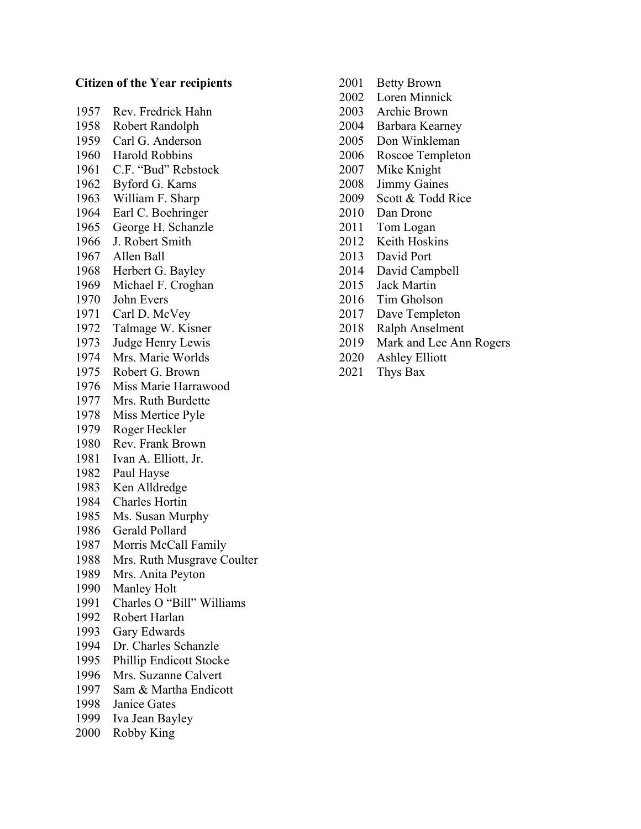## Citizen of the Year recipients

1957 Rev. Fredrick Hahn 1958 Robert Randolph 1959 Carl G. Anderson 1960 Harold Robbins 1961 C.F. "Bud" Rebstock 1962 Byford G. Karns 1963 William F. Sharp 1964 Earl C. Boehringer 1965 George H. Schanzle 1966 J. Robert Smith 1967 Allen Ball 1968 Herbert G. Bayley 1969 Michael F. Croghan 1970 John Evers 1971 Carl D. McVey 1972 Talmage W. Kisner 1973 Judge Henry Lewis 1974 Mrs. Marie Worlds 1975 Robert G. Brown 1976 Miss Marie Harrawood 1977 Mrs. Ruth Burdette 1978 Miss Mertice Pyle 1979 Roger Heckler 1980 Rev. Frank Brown 1981 Ivan A. Elliott, Jr. 1982 Paul Hayse 1983 Ken Alldredge 1984 Charles Hortin 1985 Ms. Susan Murphy 1986 Gerald Pollard 1987 Morris McCall Family 1988 Mrs. Ruth Musgrave Coulter 1989 Mrs. Anita Peyton 1990 Manley Holt 1991 Charles O "Bill" Williams 1992 Robert Harlan 1993 Gary Edwards 1994 Dr. Charles Schanzle 1995 Phillip Endicott Stocke 1996 Mrs. Suzanne Calvert 1997 Sam & Martha Endicott 1998 Janice Gates 1999 Iva Jean Bayley 2000 Robby King

- 2001 Betty Brown
- 2002 Loren Minnick
- 2003 Archie Brown
- 2004 Barbara Kearney
- 2005 Don Winkleman
- 2006 Roscoe Templeton
- 2007 Mike Knight
- 2008 Jimmy Gaines
- 2009 Scott & Todd Rice
- 2010 Dan Drone
- 2011 Tom Logan
- 2012 Keith Hoskins
- 2013 David Port
- 2014 David Campbell
- 2015 Jack Martin
- 2016 Tim Gholson
- 2017 Dave Templeton
- 2018 Ralph Anselment
- 2019 Mark and Lee Ann Rogers
- 2020 Ashley Elliott
- 2021 Thys Bax